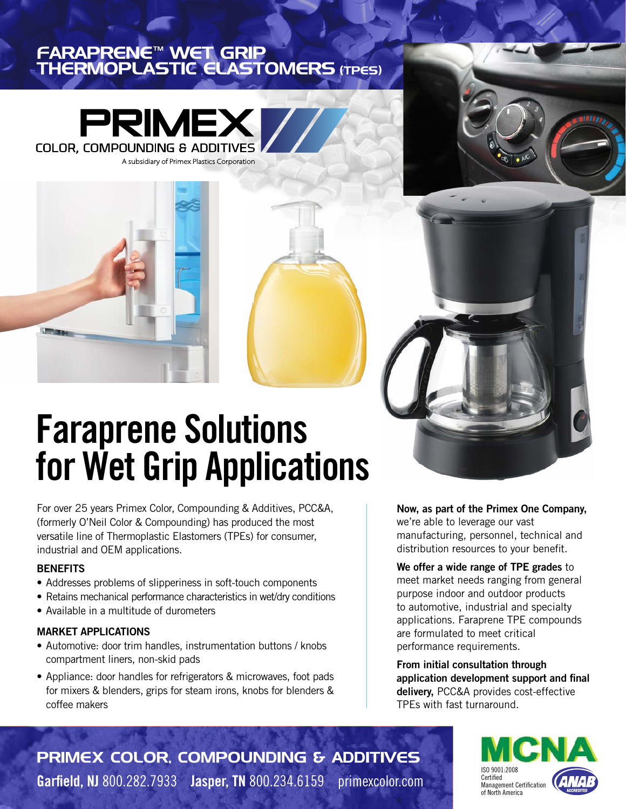### FARAPRENE™ WET GRIP THERMOPLASTIC ELASTOMERS (TPES)





# **Faraprene Solutions for Wet Grip Applications**

For over 25 years Primex Color, Compounding & Additives, PCC&A, (formerly O'Neil Color & Compounding) has produced the most versatile line of Thermoplastic Elastomers (TPEs) for consumer, industrial and OEM applications.

### **BENEFITS**

- Addresses problems of slipperiness in soft-touch components
- Retains mechanical performance characteristics in wet/dry conditions
- Available in a multitude of durometers

### **MARKET APPLICATIONS**

- Automotive: door trim handles, instrumentation buttons / knobs compartment liners, non-skid pads
- Appliance: door handles for refrigerators & microwaves, foot pads for mixers & blenders, grips for steam irons, knobs for blenders & coffee makers

**Now, as part of the Primex One Company,** we're able to leverage our vast manufacturing, personnel, technical and distribution resources to your benefit.

**We offer a wide range of TPE grades** to meet market needs ranging from general purpose indoor and outdoor products to automotive, industrial and specialty applications. Faraprene TPE compounds are formulated to meet critical performance requirements.

**From initial consultation through application development support and final delivery,** PCC&A provides cost-effective TPEs with fast turnaround.

> ISO 9001:2008 Certified Management Certificatio of North America

PRIMEX COLOR, COMPOUNDING & ADDITIVES **Garfield, NJ** 800.282.7933 **Jasper, TN** 800.234.6159 primexcolor.com